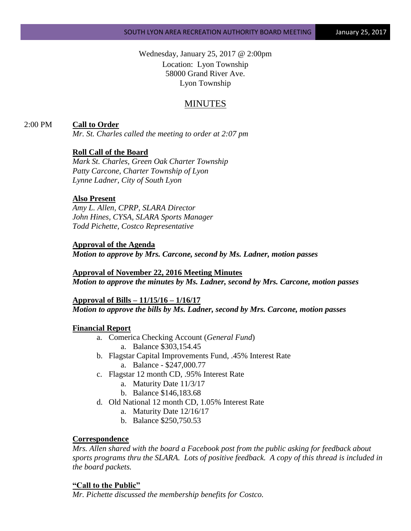Wednesday, January 25, 2017 @ 2:00pm Location: Lyon Township 58000 Grand River Ave. Lyon Township

# MINUTES

### 2:00 PM **Call to Order**

*Mr. St. Charles called the meeting to order at 2:07 pm*

### **Roll Call of the Board**

*Mark St. Charles, Green Oak Charter Township Patty Carcone, Charter Township of Lyon Lynne Ladner, City of South Lyon*

#### **Also Present**

*Amy L. Allen, CPRP, SLARA Director John Hines, CYSA, SLARA Sports Manager Todd Pichette, Costco Representative*

#### **Approval of the Agenda**

*Motion to approve by Mrs. Carcone, second by Ms. Ladner, motion passes*

# **Approval of November 22, 2016 Meeting Minutes** *Motion to approve the minutes by Ms. Ladner, second by Mrs. Carcone, motion passes*

# **Approval of Bills – 11/15/16 – 1/16/17** *Motion to approve the bills by Ms. Ladner, second by Mrs. Carcone, motion passes*

#### **Financial Report**

- a. Comerica Checking Account (*General Fund*) a. Balance \$303,154.45
- b. Flagstar Capital Improvements Fund, .45% Interest Rate a. Balance - \$247,000.77
- c. Flagstar 12 month CD, .95% Interest Rate
	- a. Maturity Date 11/3/17
	- b. Balance \$146,183.68
- d. Old National 12 month CD, 1.05% Interest Rate
	- a. Maturity Date 12/16/17
	- b. Balance \$250,750.53

### **Correspondence**

*Mrs. Allen shared with the board a Facebook post from the public asking for feedback about sports programs thru the SLARA. Lots of positive feedback. A copy of this thread is included in the board packets.*

#### **"Call to the Public"**

*Mr. Pichette discussed the membership benefits for Costco.*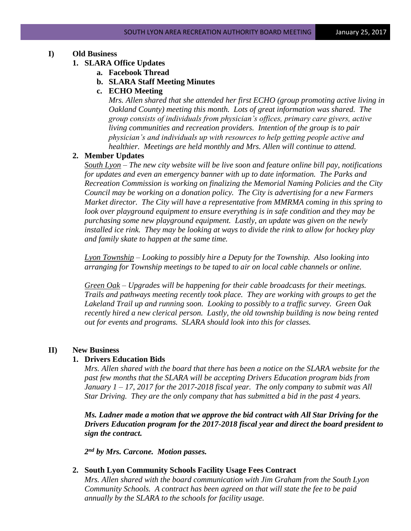# **I) Old Business**

- **1. SLARA Office Updates**
	- **a. Facebook Thread**
		- **b. SLARA Staff Meeting Minutes**
		- **c. ECHO Meeting**

*Mrs. Allen shared that she attended her first ECHO (group promoting active living in Oakland County) meeting this month. Lots of great information was shared. The group consists of individuals from physician's offices, primary care givers, active living communities and recreation providers. Intention of the group is to pair physician's and individuals up with resources to help getting people active and healthier. Meetings are held monthly and Mrs. Allen will continue to attend.*

### **2. Member Updates**

*South Lyon – The new city website will be live soon and feature online bill pay, notifications for updates and even an emergency banner with up to date information. The Parks and Recreation Commission is working on finalizing the Memorial Naming Policies and the City Council may be working on a donation policy. The City is advertising for a new Farmers Market director. The City will have a representative from MMRMA coming in this spring to look over playground equipment to ensure everything is in safe condition and they may be purchasing some new playground equipment. Lastly, an update was given on the newly installed ice rink. They may be looking at ways to divide the rink to allow for hockey play and family skate to happen at the same time.*

*Lyon Township – Looking to possibly hire a Deputy for the Township. Also looking into arranging for Township meetings to be taped to air on local cable channels or online.*

*Green Oak – Upgrades will be happening for their cable broadcasts for their meetings. Trails and pathways meeting recently took place. They are working with groups to get the Lakeland Trail up and running soon. Looking to possibly to a traffic survey. Green Oak recently hired a new clerical person. Lastly, the old township building is now being rented out for events and programs. SLARA should look into this for classes.*

### **II) New Business**

#### **1. Drivers Education Bids**

*Mrs. Allen shared with the board that there has been a notice on the SLARA website for the past few months that the SLARA will be accepting Drivers Education program bids from January 1 – 17, 2017 for the 2017-2018 fiscal year. The only company to submit was All Star Driving. They are the only company that has submitted a bid in the past 4 years.* 

*Ms. Ladner made a motion that we approve the bid contract with All Star Driving for the Drivers Education program for the 2017-2018 fiscal year and direct the board president to sign the contract.*

*2 nd by Mrs. Carcone. Motion passes.*

### **2. South Lyon Community Schools Facility Usage Fees Contract**

*Mrs. Allen shared with the board communication with Jim Graham from the South Lyon Community Schools. A contract has been agreed on that will state the fee to be paid annually by the SLARA to the schools for facility usage.*